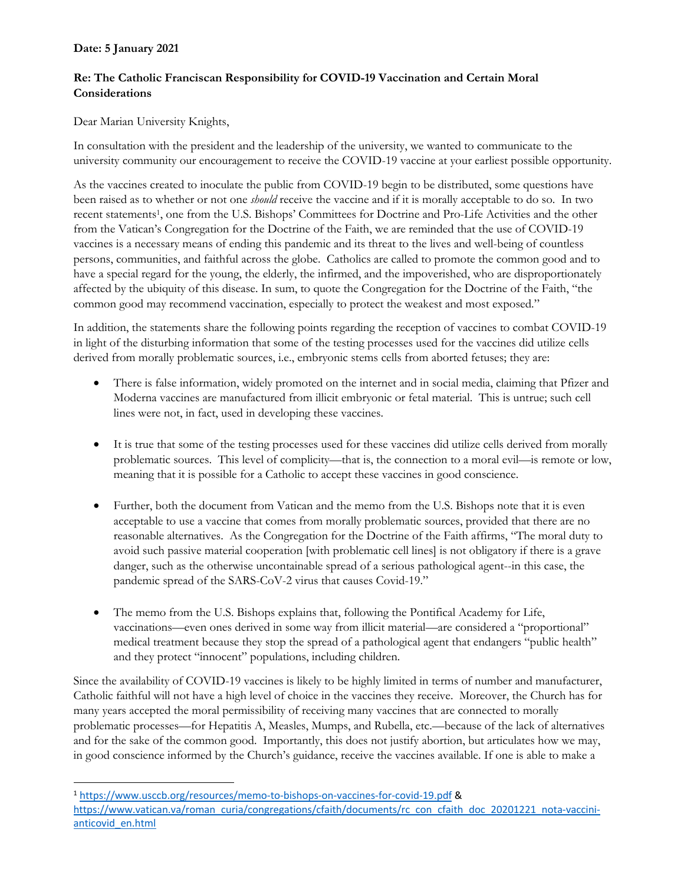# **Date: 5 January 2021**

# **Re: The Catholic Franciscan Responsibility for COVID-19 Vaccination and Certain Moral Considerations**

#### Dear Marian University Knights,

In consultation with the president and the leadership of the university, we wanted to communicate to the university community our encouragement to receive the COVID-19 vaccine at your earliest possible opportunity.

As the vaccines created to inoculate the public from COVID-19 begin to be distributed, some questions have been raised as to whether or not one *should* receive the vaccine and if it is morally acceptable to do so. In two recent statements1, one from the U.S. Bishops' Committees for Doctrine and Pro-Life Activities and the other from the Vatican's Congregation for the Doctrine of the Faith, we are reminded that the use of COVID-19 vaccines is a necessary means of ending this pandemic and its threat to the lives and well-being of countless persons, communities, and faithful across the globe. Catholics are called to promote the common good and to have a special regard for the young, the elderly, the infirmed, and the impoverished, who are disproportionately affected by the ubiquity of this disease. In sum, to quote the Congregation for the Doctrine of the Faith, "the common good may recommend vaccination, especially to protect the weakest and most exposed."

In addition, the statements share the following points regarding the reception of vaccines to combat COVID-19 in light of the disturbing information that some of the testing processes used for the vaccines did utilize cells derived from morally problematic sources, i.e., embryonic stems cells from aborted fetuses; they are:

- There is false information, widely promoted on the internet and in social media, claiming that Pfizer and Moderna vaccines are manufactured from illicit embryonic or fetal material. This is untrue; such cell lines were not, in fact, used in developing these vaccines.
- It is true that some of the testing processes used for these vaccines did utilize cells derived from morally problematic sources. This level of complicity—that is, the connection to a moral evil—is remote or low, meaning that it is possible for a Catholic to accept these vaccines in good conscience.
- Further, both the document from Vatican and the memo from the U.S. Bishops note that it is even acceptable to use a vaccine that comes from morally problematic sources, provided that there are no reasonable alternatives. As the Congregation for the Doctrine of the Faith affirms, "The moral duty to avoid such passive material cooperation [with problematic cell lines] is not obligatory if there is a grave danger, such as the otherwise uncontainable spread of a serious pathological agent--in this case, the pandemic spread of the SARS-CoV-2 virus that causes Covid-19."
- The memo from the U.S. Bishops explains that, following the Pontifical Academy for Life, vaccinations—even ones derived in some way from illicit material—are considered a "proportional" medical treatment because they stop the spread of a pathological agent that endangers "public health" and they protect "innocent" populations, including children.

Since the availability of COVID-19 vaccines is likely to be highly limited in terms of number and manufacturer, Catholic faithful will not have a high level of choice in the vaccines they receive. Moreover, the Church has for many years accepted the moral permissibility of receiving many vaccines that are connected to morally problematic processes—for Hepatitis A, Measles, Mumps, and Rubella, etc.—because of the lack of alternatives and for the sake of the common good. Importantly, this does not justify abortion, but articulates how we may, in good conscience informed by the Church's guidance, receive the vaccines available. If one is able to make a

<sup>1</sup> https://www.usccb.org/resources/memo-to-bishops-on-vaccines-for-covid-19.pdf & https://www.vatican.va/roman\_curia/congregations/cfaith/documents/rc\_con\_cfaith\_doc\_20201221\_nota-vaccinianticovid\_en.html